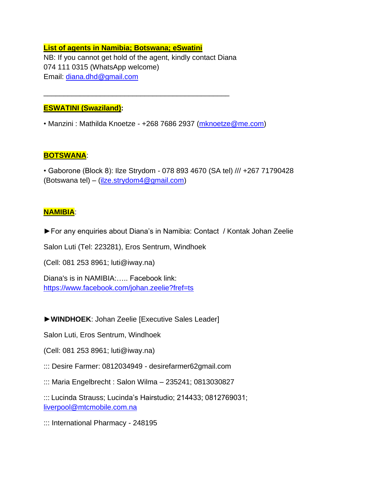## **List of agents in Namibia; Botswana; eSwatini** NB: If you cannot get hold of the agent, kindly contact Diana 074 111 0315 (WhatsApp welcome) Email: [diana.dhd@gmail.com](mailto:diana.dhd@gmail.com)

\_\_\_\_\_\_\_\_\_\_\_\_\_\_\_\_\_\_\_\_\_\_\_\_\_\_\_\_\_\_\_\_\_\_\_\_\_\_\_\_\_\_\_\_\_\_

## **ESWATINI (Swaziland):**

• Manzini : Mathilda Knoetze - +268 7686 2937 [\(mknoetze@me.com\)](mailto:mknoetze@me.com)

## **BOTSWANA**:

• Gaborone (Block 8): Ilze Strydom - 078 893 4670 (SA tel) /// +267 71790428 (Botswana tel) – [\(ilze.strydom4@gmail.com\)](mailto:ilze.strydom4@gmail.com)

## **NAMIBIA**:

►For any enquiries about Diana's in Namibia: Contact / Kontak Johan Zeelie

Salon Luti (Tel: 223281), Eros Sentrum, Windhoek

(Cell: 081 253 8961; luti@iway.na)

Diana's is in NAMIBIA:….. Facebook link: <https://www.facebook.com/johan.zeelie?fref=ts>

**►WINDHOEK**: Johan Zeelie [Executive Sales Leader]

Salon Luti, Eros Sentrum, Windhoek

(Cell: 081 253 8961; luti@iway.na)

::: Desire Farmer: 0812034949 - desirefarmer62gmail.com

::: Maria Engelbrecht : Salon Wilma – 235241; 0813030827

::: Lucinda Strauss; Lucinda's Hairstudio; 214433; 0812769031; [liverpool@mtcmobile.com.na](mailto:liverpool@mtcmobile.com.na)

::: International Pharmacy - 248195